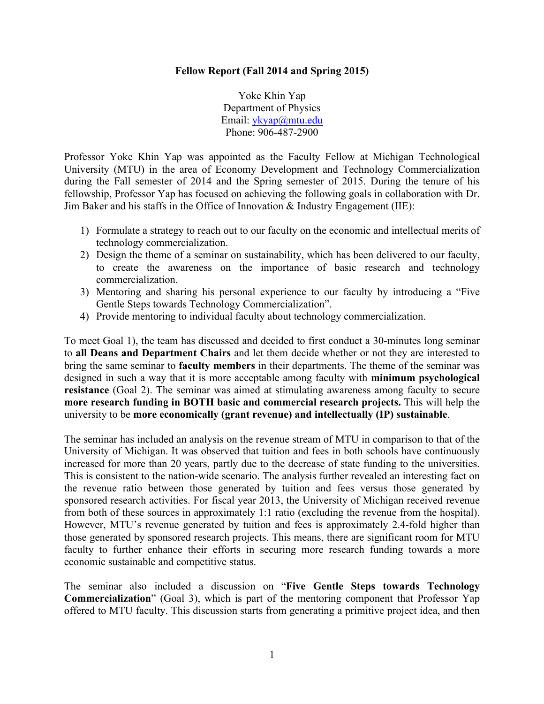## **Fellow Report (Fall 2014 and Spring 2015)**

Yoke Khin Yap Department of Physics Email: [ykyap@mtu.edu](mailto:ykyap@mtu.edu) Phone: 906-487-2900

Professor Yoke Khin Yap was appointed as the Faculty Fellow at Michigan Technological University (MTU) in the area of Economy Development and Technology Commercialization during the Fall semester of 2014 and the Spring semester of 2015. During the tenure of his fellowship, Professor Yap has focused on achieving the following goals in collaboration with Dr. Jim Baker and his staffs in the Office of Innovation  $\&$  Industry Engagement (IIE):

- 1) Formulate a strategy to reach out to our faculty on the economic and intellectual merits of technology commercialization.
- 2) Design the theme of a seminar on sustainability, which has been delivered to our faculty, to create the awareness on the importance of basic research and technology commercialization.
- 3) Mentoring and sharing his personal experience to our faculty by introducing a "Five Gentle Steps towards Technology Commercialization".
- 4) Provide mentoring to individual faculty about technology commercialization.

To meet Goal 1), the team has discussed and decided to first conduct a 30-minutes long seminar to **all Deans and Department Chairs** and let them decide whether or not they are interested to bring the same seminar to **faculty members** in their departments. The theme of the seminar was designed in such a way that it is more acceptable among faculty with **minimum psychological resistance** (Goal 2). The seminar was aimed at stimulating awareness among faculty to secure **more research funding in BOTH basic and commercial research projects.** This will help the university to be **more economically (grant revenue) and intellectually (IP) sustainable**.

The seminar has included an analysis on the revenue stream of MTU in comparison to that of the University of Michigan. It was observed that tuition and fees in both schools have continuously increased for more than 20 years, partly due to the decrease of state funding to the universities. This is consistent to the nation-wide scenario. The analysis further revealed an interesting fact on the revenue ratio between those generated by tuition and fees versus those generated by sponsored research activities. For fiscal year 2013, the University of Michigan received revenue from both of these sources in approximately 1:1 ratio (excluding the revenue from the hospital). However, MTU's revenue generated by tuition and fees is approximately 2.4-fold higher than those generated by sponsored research projects. This means, there are significant room for MTU faculty to further enhance their efforts in securing more research funding towards a more economic sustainable and competitive status.

The seminar also included a discussion on "**Five Gentle Steps towards Technology Commercialization**" (Goal 3), which is part of the mentoring component that Professor Yap offered to MTU faculty. This discussion starts from generating a primitive project idea, and then